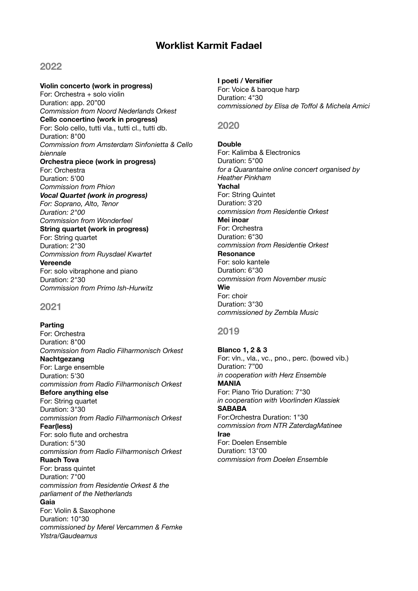# **Worklist Karmit Fadael**

# **2022**

**Violin concerto (work in progress)**  For: Orchestra + solo violin Duration: app. 20"00 *Commission from Noord Nederlands Orkest*  **Cello concertino (work in progress)**  For: Solo cello, tutti vla., tutti cl., tutti db. Duration: 8"00 *Commission from Amsterdam Sinfonietta & Cello biennale*  **Orchestra piece (work in progress)**  For: Orchestra Duration: 5'00 *Commission from Phion Vocal Quartet (work in progress) For: Soprano, Alto, Tenor Duration: 2"00 Commission from Wonderfeel*  **String quartet (work in progress)**  For: String quartet Duration: 2"30 *Commission from Ruysdael Kwartet*  **Vereende**  For: solo vibraphone and piano Duration: 2"30 *Commission from Primo Ish-Hurwitz* 

# **2021**

**Parting**  For: Orchestra Duration: 8"00 *Commission from Radio Filharmonisch Orkest* **Nachtgezang** For: Large ensemble Duration: 5'30 *commission from Radio Filharmonisch Orkest* **Before anything else** For: String quartet Duration: 3"30 *commission from Radio Filharmonisch Orkest* **Fear(less)** For: solo flute and orchestra Duration: 5"30 *commission from Radio Filharmonisch Orkest*  **Ruach Tova** For: brass quintet Duration: 7"00 *commission from Residentie Orkest & the parliament of the Netherlands*  **Gaia** For: Violin & Saxophone Duration: 10"30 *commissioned by Merel Vercammen & Femke Ylstra/Gaudeamus*

#### **I poeti / Versifier**

For: Voice & baroque harp Duration: 4"30 *commissioned by Elisa de Toffol & Michela Amici* 

## **2020**

# **Double**

For: Kalimba & Electronics Duration: 5"00 *for a Quarantaine online concert organised by Heather Pinkham*  **Yachal**  For: String Quintet Duration: 3'20 *commission from Residentie Orkest*  **Mei inoar**  For: Orchestra Duration: 6"30 *commission from Residentie Orkest*  **Resonance**  For: solo kantele Duration: 6"30 *commission from November music*  **Wie**  For: choir Duration: 3"30 *commissioned by Zembla Music* 

#### **2019**

**Blanco 1, 2 & 3**  For: vln., vla., vc., pno., perc. (bowed vib.) Duration: 7"00 *in cooperation with Herz Ensemble*  **MANIA**  For: Piano Trio Duration: 7"30 *in cooperation with Voorlinden Klassiek*  **SABABA**  For:Orchestra Duration: 1"30 *commission from NTR ZaterdagMatinee* **Irae**  For: Doelen Ensemble Duration: 13"00 *commission from Doelen Ensemble*